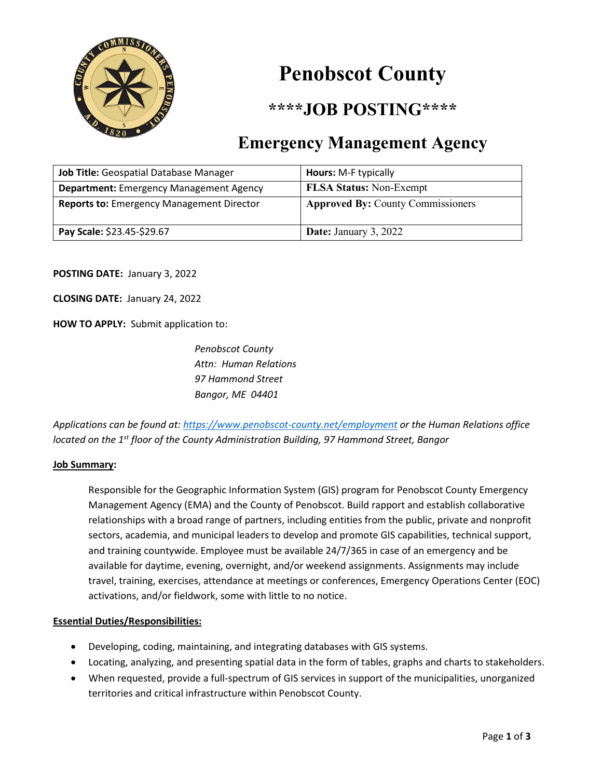

# **Penobscot County**

### **\*\*\*\*JOB POSTING\*\*\*\***

## **Emergency Management Agency**

| Job Title: Geospatial Database Manager           | <b>Hours: M-F typically</b>              |
|--------------------------------------------------|------------------------------------------|
| <b>Department:</b> Emergency Management Agency   | <b>FLSA Status: Non-Exempt</b>           |
| <b>Reports to: Emergency Management Director</b> | <b>Approved By: County Commissioners</b> |
| Pay Scale: \$23.45-\$29.67                       | <b>Date:</b> January 3, 2022             |

**POSTING DATE:** January 3, 2022

**CLOSING DATE:** January 24, 2022

**HOW TO APPLY:** Submit application to:

*Penobscot County Attn: Human Relations 97 Hammond Street Bangor, ME 04401*

*Applications can be found at:<https://www.penobscot-county.net/employment> or the Human Relations office located on the 1st floor of the County Administration Building, 97 Hammond Street, Bangor*

#### **Job Summary:**

Responsible for the Geographic Information System (GIS) program for Penobscot County Emergency Management Agency (EMA) and the County of Penobscot. Build rapport and establish collaborative relationships with a broad range of partners, including entities from the public, private and nonprofit sectors, academia, and municipal leaders to develop and promote GIS capabilities, technical support, and training countywide. Employee must be available 24/7/365 in case of an emergency and be available for daytime, evening, overnight, and/or weekend assignments. Assignments may include travel, training, exercises, attendance at meetings or conferences, Emergency Operations Center (EOC) activations, and/or fieldwork, some with little to no notice.

#### **Essential Duties/Responsibilities:**

- Developing, coding, maintaining, and integrating databases with GIS systems.
- Locating, analyzing, and presenting spatial data in the form of tables, graphs and charts to stakeholders.
- When requested, provide a full-spectrum of GIS services in support of the municipalities, unorganized territories and critical infrastructure within Penobscot County.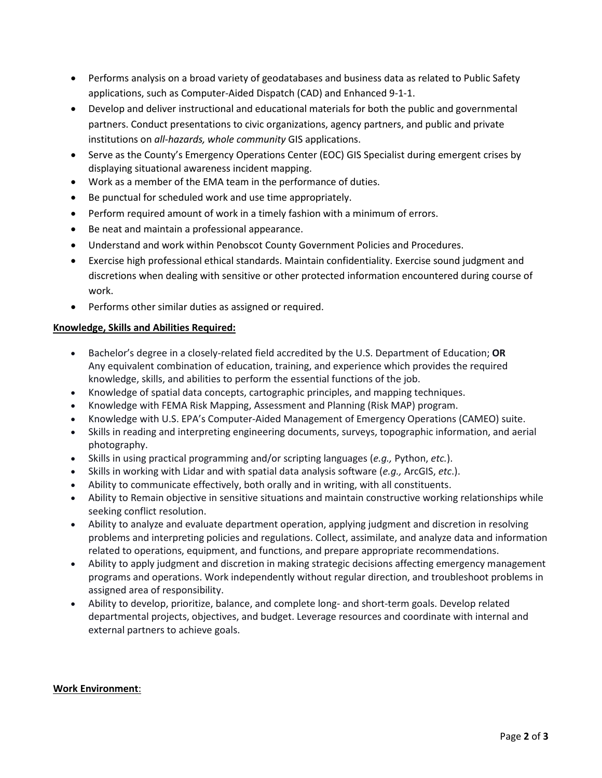- Performs analysis on a broad variety of geodatabases and business data as related to Public Safety applications, such as Computer-Aided Dispatch (CAD) and Enhanced 9-1-1.
- Develop and deliver instructional and educational materials for both the public and governmental partners. Conduct presentations to civic organizations, agency partners, and public and private institutions on *all-hazards, whole community* GIS applications.
- Serve as the County's Emergency Operations Center (EOC) GIS Specialist during emergent crises by displaying situational awareness incident mapping.
- Work as a member of the EMA team in the performance of duties.
- Be punctual for scheduled work and use time appropriately.
- Perform required amount of work in a timely fashion with a minimum of errors.
- Be neat and maintain a professional appearance.
- Understand and work within Penobscot County Government Policies and Procedures.
- Exercise high professional ethical standards. Maintain confidentiality. Exercise sound judgment and discretions when dealing with sensitive or other protected information encountered during course of work.
- Performs other similar duties as assigned or required.

#### **Knowledge, Skills and Abilities Required:**

- Bachelor's degree in a closely-related field accredited by the U.S. Department of Education; **OR** Any equivalent combination of education, training, and experience which provides the required knowledge, skills, and abilities to perform the essential functions of the job.
- Knowledge of spatial data concepts, cartographic principles, and mapping techniques.
- Knowledge with FEMA Risk Mapping, Assessment and Planning (Risk MAP) program.
- Knowledge with U.S. EPA's Computer-Aided Management of Emergency Operations (CAMEO) suite.
- Skills in reading and interpreting engineering documents, surveys, topographic information, and aerial photography.
- Skills in using practical programming and/or scripting languages (*e.g.,* Python, *etc.*).
- Skills in working with Lidar and with spatial data analysis software (*e.g.,* ArcGIS, *etc*.).
- Ability to communicate effectively, both orally and in writing, with all constituents.
- Ability to Remain objective in sensitive situations and maintain constructive working relationships while seeking conflict resolution.
- Ability to analyze and evaluate department operation, applying judgment and discretion in resolving problems and interpreting policies and regulations. Collect, assimilate, and analyze data and information related to operations, equipment, and functions, and prepare appropriate recommendations.
- Ability to apply judgment and discretion in making strategic decisions affecting emergency management programs and operations. Work independently without regular direction, and troubleshoot problems in assigned area of responsibility.
- Ability to develop, prioritize, balance, and complete long- and short-term goals. Develop related departmental projects, objectives, and budget. Leverage resources and coordinate with internal and external partners to achieve goals.

#### **Work Environment**: